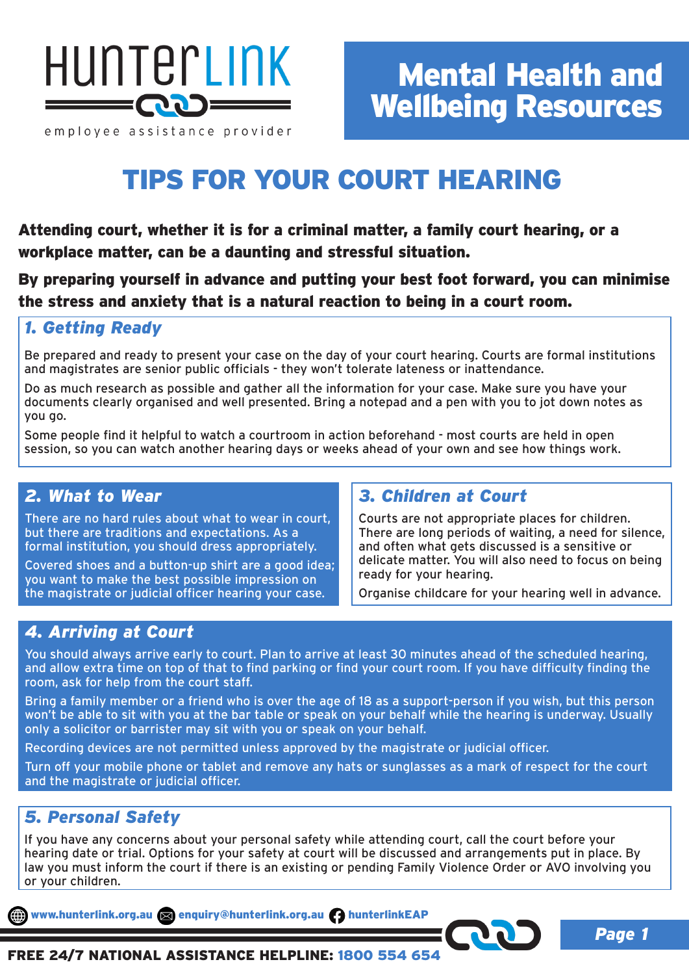

# TIPS FOR YOUR COURT HEARING

Attending court, whether it is for a criminal matter, a family court hearing, or a workplace matter, can be a daunting and stressful situation.

By preparing yourself in advance and putting your best foot forward, you can minimise the stress and anxiety that is a natural reaction to being in a court room.

### *1. Getting Ready*

Be prepared and ready to present your case on the day of your court hearing. Courts are formal institutions and magistrates are senior public officials - they won't tolerate lateness or inattendance.

Do as much research as possible and gather all the information for your case. Make sure you have your documents clearly organised and well presented. Bring a notepad and a pen with you to jot down notes as you go.

Some people find it helpful to watch a courtroom in action beforehand - most courts are held in open session, so you can watch another hearing days or weeks ahead of your own and see how things work.

## *2. What to Wear*

There are no hard rules about what to wear in court, but there are traditions and expectations. As a formal institution, you should dress appropriately.

Covered shoes and a button-up shirt are a good idea; you want to make the best possible impression on the magistrate or judicial officer hearing your case.

## *3. Children at Court*

Courts are not appropriate places for children. There are long periods of waiting, a need for silence, and often what gets discussed is a sensitive or delicate matter. You will also need to focus on being ready for your hearing.

Organise childcare for your hearing well in advance.

*Page 1*

## *4. Arriving at Court*

You should always arrive early to court. Plan to arrive at least 30 minutes ahead of the scheduled hearing, and allow extra time on top of that to find parking or find your court room. If you have difficulty finding the room, ask for help from the court staff.

Bring a family member or a friend who is over the age of 18 as a support-person if you wish, but this person won't be able to sit with you at the bar table or speak on your behalf while the hearing is underway. Usually only a solicitor or barrister may sit with you or speak on your behalf.

Recording devices are not permitted unless approved by the magistrate or judicial officer.

Turn off your mobile phone or tablet and remove any hats or sunglasses as a mark of respect for the court and the magistrate or judicial officer.

### *5. Personal Safety*

If you have any concerns about your personal safety while attending court, call the court before your hearing date or trial. Options for your safety at court will be discussed and arrangements put in place. By law you must inform the court if there is an existing or pending Family Violence Order or AVO involving you or your children.

www.hunterlink.org.au senquiry@hunterlink.org.au hunterlinkEAP

FREE 24/7 NATIONAL ASSISTANCE HELPLINE: 1800 554 654